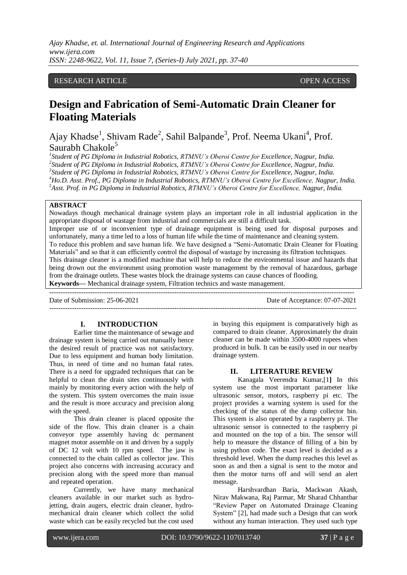*Ajay Khadse, et. al. International Journal of Engineering Research and Applications www.ijera.com ISSN: 2248-9622, Vol. 11, Issue 7, (Series-I) July 2021, pp. 37-40*

## RESEARCH ARTICLE **CONSERVERS** OPEN ACCESS

# **Design and Fabrication of Semi-Automatic Drain Cleaner for Floating Materials**

Ajay Khadse<sup>1</sup>, Shivam Rade<sup>2</sup>, Sahil Balpande<sup>3</sup>, Prof. Neema Ukani<sup>4</sup>, Prof. Saurabh Chakol $e^5$ 

 *Student of PG Diploma in Industrial Robotics, RTMNU's Oberoi Centre for Excellence, Nagpur, India. Student of PG Diploma in Industrial Robotics, RTMNU's Oberoi Centre for Excellence, Nagpur, India. Student of PG Diploma in Industrial Robotics, RTMNU's Oberoi Centre for Excellence, Nagpur, India. Ho.D. Asst. Prof., PG Diploma in Industrial Robotics, RTMNU's Oberoi Centre for Excellence, Nagpur, India. Asst. Prof. in PG Diploma in Industrial Robotics, RTMNU's Oberoi Centre for Excellence, Nagpur, India.*

#### **ABSTRACT**

Nowadays though mechanical drainage system plays an important role in all industrial application in the appropriate disposal of wastage from industrial and commercials are still a difficult task. Improper use of or inconvenient type of drainage equipment is being used for disposal purposes and unfortunately, many a time led to a loss of human life while the time of maintenance and cleaning system. To reduce this problem and save human life. We have designed a "Semi-Automatic Drain Cleaner for Floating Materials" and so that it can efficiently control the disposal of wastage by increasing its filtration techniques. This drainage cleaner is a modified machine that will help to reduce the environmental issue and hazards that being drown out the environment using promotion waste management by the removal of hazardous, garbage from the drainage outlets. These wastes block the drainage systems can cause chances of flooding.

 $-+++++++$ 

---------------------------------------------------------------------------------------------------------------------------------------

**Keywords—** Mechanical drainage system, Filtration technics and waste management.

Date of Submission: 25-06-2021 Date of Acceptance: 07-07-2021

#### **I. INTRODUCTION**

Earlier time the maintenance of sewage and drainage system is being carried out manually hence the desired result of practice was not satisfactory. Due to less equipment and human body limitation. Thus, in need of time and no human fatal rates. There is a need for upgraded techniques that can be helpful to clean the drain sites continuously with mainly by monitoring every action with the help of the system. This system overcomes the main issue and the result is more accuracy and precision along with the speed.

This drain cleaner is placed opposite the side of the flow. This drain cleaner is a chain conveyor type assembly having dc permanent magnet motor assemble on it and driven by a supply of DC 12 volt with 10 rpm speed. The jaw is connected to the chain called as collector jaw. This project also concerns with increasing accuracy and precision along with the speed more than manual and repeated operation.

Currently, we have many mechanical cleaners available in our market such as hydrojetting, drain augers, electric drain cleaner, hydromechanical drain cleaner which collect the solid waste which can be easily recycled but the cost used in buying this equipment is comparatively high as compared to drain cleaner. Approximately the drain cleaner can be made within 3500-4000 rupees when produced in bulk. It can be easily used in our nearby drainage system.

#### **II. LITERATURE REVIEW**

Kanagala Veerendra Kumar,[1**]** In this system use the most important parameter like ultrasonic sensor, motors, raspberry pi etc. The project provides a warning system is used for the checking of the status of the dump collector bin. This system is also operated by a raspberry pi. The ultrasonic sensor is connected to the raspberry pi and mounted on the top of a bin. The sensor will help to measure the distance of filling of a bin by using python code. The exact level is decided as a threshold level. When the dump reaches this level as soon as and then a signal is sent to the motor and then the motor turns off and will send an alert message.

Harshvardhan Baria, Mackwan Akash, Nirav Makwana, Raj Parmar, Mr Sharad Chhantbar "Review Paper on Automated Drainage Cleaning System" [2], had made such a Design that can work without any human interaction. They used such type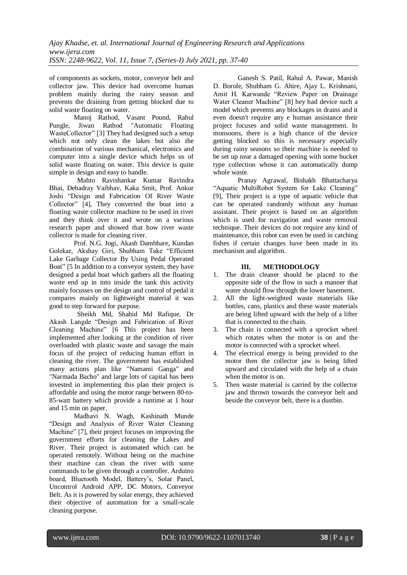of components as sockets, motor, conveyor belt and collector jaw. This device had overcome human problem mainly during the rainy season and prevents the draining from getting blocked due to solid waste floating on water.

Manoj Rathod, Vasant Pound, Rahul<br>Pungle, Jiwan Rathod "Automatic Floating Rathod "Automatic Floating WasteCollector" [3] They had designed such a setup which not only clean the lakes but also the combination of various mechanical, electronics and computer into a single device which helps us of solid waste floating on water. This device is quite simple in design and easy to handle.

 Mahto Ravishankar Kumar Ravindra Bhai, Dehadray Vaibhav, Kaka Smit, Prof. Ankur Joshi "Design and Fabrication Of River Waste Collector" [4], They converted the boat into a floating waste collector machine to be used in river and they think over it and wrote on a various research paper and showed that how river waste collector is made for cleaning river.

Prof. N.G. Jogi, Akash Dambhare, Kundan Golekar, Akshay Giri, Shubham Take "Efficient Lake Garbage Collector By Using Pedal Operated Boat" [5 In addition to a conveyor system, they have designed a pedal boat which gathers all the floating waste end up in into inside the tank this activity mainly focusses on the design and control of pedal it compares mainly on lightweight material it was good to step forward for purpose.

 Sheikh Md, Shahid Md Rafique, Dr Akash Langde "Design and Fabrication of River Cleaning Machine" [6 This project has been implemented after looking at the condition of river overloaded with plastic waste and savage the main focus of the project of reducing human effort in cleaning the river. The government has established many actions plan like "Namami Ganga" and "Narmada Bacho" and large lots of capital has been invested in implementing this plan their project is affordable and using the motor range between 80-to-85-watt battery which provide a runtime at 1 hour and 15 min on paper.

Madhavi N. Wagh, Kashinath Munde "Design and Analysis of River Water Cleaning Machine" [7], their project focuses on improving the government efforts for cleaning the Lakes and River. Their project is automated which can be operated remotely. Without being on the machine their machine can clean the river with some commands to be given through a controller. Arduino board, Bluetooth Model, Battery's, Solar Panel, Uncontrol Android APP, DC Motors, Conveyor Belt. As it is powered by solar energy, they achieved their objective of automation for a small-scale cleaning purpose.

Ganesh S. Patil, Rahul A. Pawar, Manish D. Borole, Shubham G. Ahire, Ajay L. Krishnani, Amit H. Karwande "Review Paper on Drainage Water Cleaner Machine" [8] hey had device such a model which prevents any blockages in drains and it even doesn't require any e human assistance their project focuses and solid waste management. In monsoons, there is a high chance of the device getting blocked so this is necessary especially during rainy seasons so their machine is needed to be set up near a damaged opening with some bucket type collection whose it can automatically dump whole waste.

Pranay Agrawal, Bishakh Bhattacharya "Aquatic MultiRobot System for Lake Cleaning" [9], Their project is a type of aquatic vehicle that can be operated randomly without any human assistant. Their project is based on an algorithm which is used for navigation and waste removal technique. Their devices do not require any kind of maintenance, this robot can even be used in catching fishes if certain changes have been made in its mechanism and algorithm.

## **III. METHODOLOGY**

- 1. The drain cleaner should be placed to the opposite side of the flow in such a manner that water should flow through the lower basement.
- 2. All the light-weighted waste materials like bottles, cans, plastics and these waste materials are being lifted upward with the help of a lifter that is connected to the chain.
- 3. The chain is connected with a sprocket wheel which rotates when the motor is on and the motor is connected with a sprocket wheel.
- 4. The electrical energy is being provided to the motor then the collector jaw is being lifted upward and circulated with the help of a chain when the motor is on.
- 5. Then waste material is carried by the collector jaw and thrown towards the conveyor belt and beside the conveyor belt, there is a dustbin.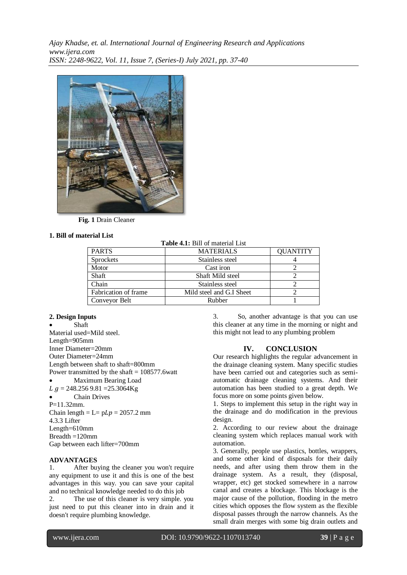

 **Fig. 1** Drain Cleaner

## **1. Bill of material List**

**Table 4.1:** Bill of material List

| <b>PARTS</b>         | <b>MATERIALS</b>         | <b>QUANTITY</b> |
|----------------------|--------------------------|-----------------|
| <b>Sprockets</b>     | Stainless steel          |                 |
| Motor                | Cast iron                |                 |
| Shaft                | Shaft Mild steel         |                 |
| Chain                | Stainless steel          |                 |
| Fabrication of frame | Mild steel and G.I Sheet |                 |
| Conveyor Belt        | Rubber                   |                 |

# **2. Design Inputs**

 Shaft Material used=Mild steel. Length=905mm Inner Diameter=20mm Outer Diameter=24mm Length between shaft to shaft=800mm Power transmitted by the shaft  $= 108577.6$  watt Maximum Bearing Load  $L$   $q = 248.256$  9.81 = 25.3064Kg Chain Drives  $P=11.32$ mm. Chain length  $= L = p L p = 2057.2$  mm 4.3.3 Lifter Length=610mm Breadth =120mm Gap between each lifter=700mm

## **ADVANTAGES**

1. After buying the cleaner you won't require any equipment to use it and this is one of the best advantages in this way. you can save your capital and no technical knowledge needed to do this job

2. The use of this cleaner is very simple. you just need to put this cleaner into in drain and it doesn't require plumbing knowledge.

3. So, another advantage is that you can use this cleaner at any time in the morning or night and this might not lead to any plumbing problem

# **IV. CONCLUSION**

Our research highlights the regular advancement in the drainage cleaning system. Many specific studies have been carried out and categories such as semiautomatic drainage cleaning systems. And their automation has been studied to a great depth. We focus more on some points given below.

1. Steps to implement this setup in the right way in the drainage and do modification in the previous design.

2. According to our review about the drainage cleaning system which replaces manual work with automation.

3. Generally, people use plastics, bottles, wrappers, and some other kind of disposals for their daily needs, and after using them throw them in the drainage system. As a result, they (disposal, wrapper, etc) get stocked somewhere in a narrow canal and creates a blockage. This blockage is the major cause of the pollution, flooding in the metro cities which opposes the flow system as the flexible disposal passes through the narrow channels. As the small drain merges with some big drain outlets and